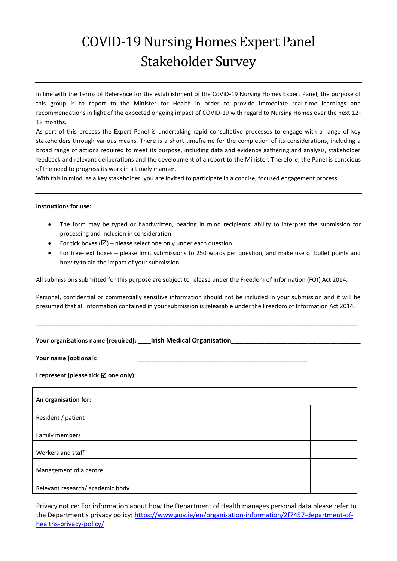# COVID-19 Nursing Homes Expert Panel Stakeholder Survey

In line with the Terms of Reference for the establishment of the CoViD-19 Nursing Homes Expert Panel, the purpose of this group is to report to the Minister for Health in order to provide immediate real-time learnings and recommendations in light of the expected ongoing impact of COVID-19 with regard to Nursing Homes over the next 12- 18 months.

As part of this process the Expert Panel is undertaking rapid consultative processes to engage with a range of key stakeholders through various means. There is a short timeframe for the completion of its considerations, including a broad range of actions required to meet its purpose, including data and evidence gathering and analysis, stakeholder feedback and relevant deliberations and the development of a report to the Minister. Therefore, the Panel is conscious of the need to progress its work in a timely manner.

With this in mind, as a key stakeholder, you are invited to participate in a concise, focused engagement process.

#### **Instructions for use:**

- The form may be typed or handwritten, bearing in mind recipients' ability to interpret the submission for processing and inclusion in consideration
- For tick boxes ( $\boxtimes$ ) please select one only under each question
- For free-text boxes please limit submissions to 250 words per question, and make use of bullet points and brevity to aid the impact of your submission

All submissions submitted for this purpose are subject to release under the Freedom of Information (FOI) Act 2014.

Personal, confidential or commercially sensitive information should not be included in your submission and it will be presumed that all information contained in your submission is releasable under the Freedom of Information Act 2014.

\_\_\_\_\_\_\_\_\_\_\_\_\_\_\_\_\_\_\_\_\_\_\_\_\_\_\_\_\_\_\_\_\_\_\_\_\_\_\_\_\_\_\_\_\_\_\_\_\_\_\_\_\_\_\_\_\_\_\_\_\_\_\_\_\_\_\_\_\_\_\_\_\_\_\_\_\_\_\_\_\_\_\_\_\_\_\_\_\_\_\_\_\_\_\_\_\_

| Your organisations name (required): _ | <b>Irish Medical Organisation</b> |  |
|---------------------------------------|-----------------------------------|--|
|---------------------------------------|-----------------------------------|--|

Your name (optional):

#### **I represent (please tick**  $\boldsymbol{\boxtimes}$  **one only):**

| An organisation for:            |  |  |  |
|---------------------------------|--|--|--|
|                                 |  |  |  |
| Resident / patient              |  |  |  |
|                                 |  |  |  |
| Family members                  |  |  |  |
|                                 |  |  |  |
| Workers and staff               |  |  |  |
|                                 |  |  |  |
| Management of a centre          |  |  |  |
|                                 |  |  |  |
| Relevant research/academic body |  |  |  |

Privacy notice: For information about how the Department of Health manages personal data please refer to the Department's privacy policy: [https://www.gov.ie/en/organisation-information/2f7457-department-of](https://www.gov.ie/en/organisation-information/2f7457-department-of-healths-privacy-policy/)[healths-privacy-policy/](https://www.gov.ie/en/organisation-information/2f7457-department-of-healths-privacy-policy/)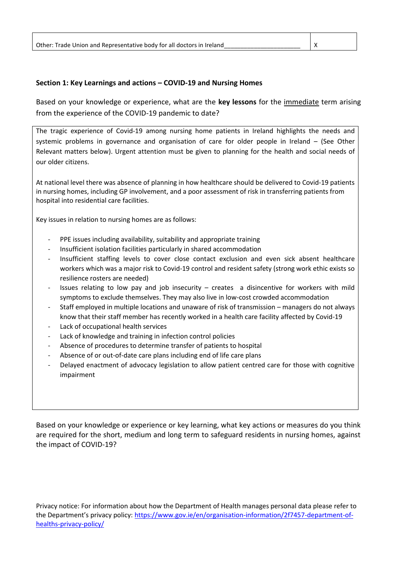# **Section 1: Key Learnings and actions – COVID-19 and Nursing Homes**

Based on your knowledge or experience, what are the **key lessons** for the immediate term arising from the experience of the COVID-19 pandemic to date?

The tragic experience of Covid-19 among nursing home patients in Ireland highlights the needs and systemic problems in governance and organisation of care for older people in Ireland – (See Other Relevant matters below). Urgent attention must be given to planning for the health and social needs of our older citizens.

At national level there was absence of planning in how healthcare should be delivered to Covid-19 patients in nursing homes, including GP involvement, and a poor assessment of risk in transferring patients from hospital into residential care facilities.

Key issues in relation to nursing homes are as follows:

- PPE issues including availability, suitability and appropriate training
- Insufficient isolation facilities particularly in shared accommodation
- Insufficient staffing levels to cover close contact exclusion and even sick absent healthcare workers which was a major risk to Covid-19 control and resident safety (strong work ethic exists so resilience rosters are needed)
- Issues relating to low pay and job insecurity creates a disincentive for workers with mild symptoms to exclude themselves. They may also live in low-cost crowded accommodation
- Staff employed in multiple locations and unaware of risk of transmission managers do not always know that their staff member has recently worked in a health care facility affected by Covid-19
- Lack of occupational health services
- Lack of knowledge and training in infection control policies
- Absence of procedures to determine transfer of patients to hospital
- Absence of or out-of-date care plans including end of life care plans
- Delayed enactment of advocacy legislation to allow patient centred care for those with cognitive impairment

Based on your knowledge or experience or key learning, what key actions or measures do you think are required for the short, medium and long term to safeguard residents in nursing homes, against the impact of COVID-19?

Privacy notice: For information about how the Department of Health manages personal data please refer to the Department's privacy policy: [https://www.gov.ie/en/organisation-information/2f7457-department-of](https://www.gov.ie/en/organisation-information/2f7457-department-of-healths-privacy-policy/)[healths-privacy-policy/](https://www.gov.ie/en/organisation-information/2f7457-department-of-healths-privacy-policy/)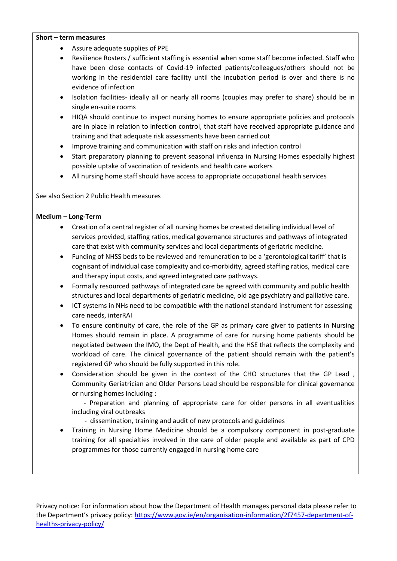#### **Short – term measures**

- Assure adequate supplies of PPE
- Resilience Rosters / sufficient staffing is essential when some staff become infected. Staff who have been close contacts of Covid-19 infected patients/colleagues/others should not be working in the residential care facility until the incubation period is over and there is no evidence of infection
- Isolation facilities- ideally all or nearly all rooms (couples may prefer to share) should be in single en-suite rooms
- HIQA should continue to inspect nursing homes to ensure appropriate policies and protocols are in place in relation to infection control, that staff have received appropriate guidance and training and that adequate risk assessments have been carried out
- Improve training and communication with staff on risks and infection control
- Start preparatory planning to prevent seasonal influenza in Nursing Homes especially highest possible uptake of vaccination of residents and health care workers
- All nursing home staff should have access to appropriate occupational health services

See also Section 2 Public Health measures

#### **Medium – Long-Term**

- Creation of a central register of all nursing homes be created detailing individual level of services provided, staffing ratios, medical governance structures and pathways of integrated care that exist with community services and local departments of geriatric medicine.
- Funding of NHSS beds to be reviewed and remuneration to be a 'gerontological tariff' that is cognisant of individual case complexity and co-morbidity, agreed staffing ratios, medical care and therapy input costs, and agreed integrated care pathways.
- Formally resourced pathways of integrated care be agreed with community and public health structures and local departments of geriatric medicine, old age psychiatry and palliative care.
- ICT systems in NHs need to be compatible with the national standard instrument for assessing care needs, interRAI
- To ensure continuity of care, the role of the GP as primary care giver to patients in Nursing Homes should remain in place. A programme of care for nursing home patients should be negotiated between the IMO, the Dept of Health, and the HSE that reflects the complexity and workload of care. The clinical governance of the patient should remain with the patient's registered GP who should be fully supported in this role.
- Consideration should be given in the context of the CHO structures that the GP Lead , Community Geriatrician and Older Persons Lead should be responsible for clinical governance or nursing homes including :
	- Preparation and planning of appropriate care for older persons in all eventualities including viral outbreaks
		- dissemination, training and audit of new protocols and guidelines
- Training in Nursing Home Medicine should be a compulsory component in post-graduate training for all specialties involved in the care of older people and available as part of CPD programmes for those currently engaged in nursing home care

Privacy notice: For information about how the Department of Health manages personal data please refer to the Department's privacy policy: [https://www.gov.ie/en/organisation-information/2f7457-department-of](https://www.gov.ie/en/organisation-information/2f7457-department-of-healths-privacy-policy/)[healths-privacy-policy/](https://www.gov.ie/en/organisation-information/2f7457-department-of-healths-privacy-policy/)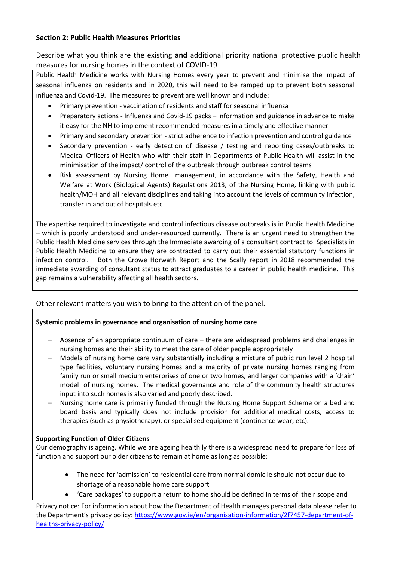# **Section 2: Public Health Measures Priorities**

Describe what you think are the existing **and** additional priority national protective public health measures for nursing homes in the context of COVID-19

Public Health Medicine works with Nursing Homes every year to prevent and minimise the impact of seasonal influenza on residents and in 2020, this will need to be ramped up to prevent both seasonal influenza and Covid-19. The measures to prevent are well known and include:

- Primary prevention vaccination of residents and staff for seasonal influenza
- Preparatory actions Influenza and Covid-19 packs information and guidance in advance to make it easy for the NH to implement recommended measures in a timely and effective manner
- Primary and secondary prevention strict adherence to infection prevention and control guidance
- Secondary prevention early detection of disease / testing and reporting cases/outbreaks to Medical Officers of Health who with their staff in Departments of Public Health will assist in the minimisation of the impact/ control of the outbreak through outbreak control teams
- Risk assessment by Nursing Home management, in accordance with the Safety, Health and Welfare at Work (Biological Agents) Regulations 2013, of the Nursing Home, linking with public health/MOH and all relevant disciplines and taking into account the levels of community infection, transfer in and out of hospitals etc

The expertise required to investigate and control infectious disease outbreaks is in Public Health Medicine – which is poorly understood and under-resourced currently. There is an urgent need to strengthen the Public Health Medicine services through the Immediate awarding of a consultant contract to Specialists in Public Health Medicine to ensure they are contracted to carry out their essential statutory functions in infection control. Both the Crowe Horwath Report and the Scally report in 2018 recommended the immediate awarding of consultant status to attract graduates to a career in public health medicine. This gap remains a vulnerability affecting all health sectors.

# Other relevant matters you wish to bring to the attention of the panel.

# **Systemic problems in governance and organisation of nursing home care**

- Absence of an appropriate continuum of care there are widespread problems and challenges in nursing homes and their ability to meet the care of older people appropriately
- Models of nursing home care vary substantially including a mixture of public run level 2 hospital type facilities, voluntary nursing homes and a majority of private nursing homes ranging from family run or small medium enterprises of one or two homes, and larger companies with a 'chain' model of nursing homes. The medical governance and role of the community health structures input into such homes is also varied and poorly described.
- Nursing home care is primarily funded through the Nursing Home Support Scheme on a bed and board basis and typically does not include provision for additional medical costs, access to therapies (such as physiotherapy), or specialised equipment (continence wear, etc).

# **Supporting Function of Older Citizens**

Our demography is ageing. While we are ageing healthily there is a widespread need to prepare for loss of function and support our older citizens to remain at home as long as possible:

- The need for 'admission' to residential care from normal domicile should not occur due to shortage of a reasonable home care support
- 'Care packages' to support a return to home should be defined in terms of their scope and

Privacy notice: For information about how the Department of Health manages personal data please refer to the Department's privacy policy: [https://www.gov.ie/en/organisation-information/2f7457-department-of](https://www.gov.ie/en/organisation-information/2f7457-department-of-healths-privacy-policy/)[healths-privacy-policy/](https://www.gov.ie/en/organisation-information/2f7457-department-of-healths-privacy-policy/)